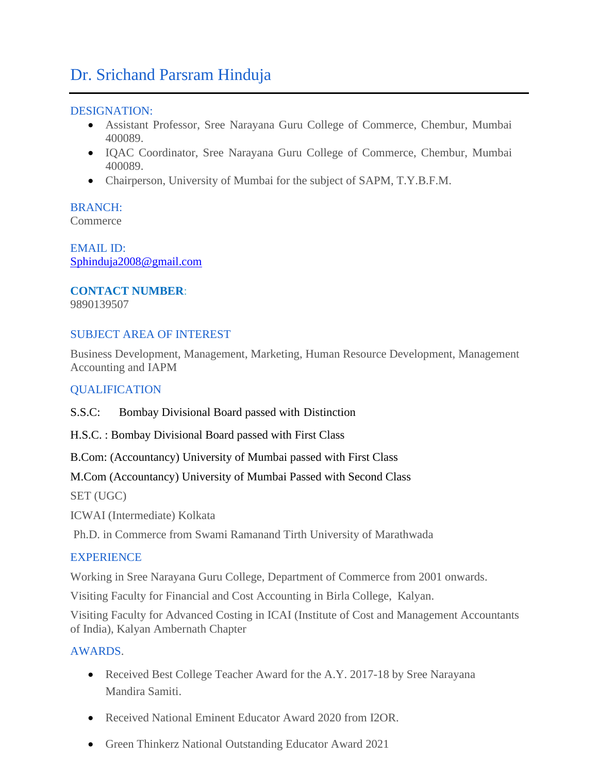## Dr. Srichand Parsram Hinduja

#### DESIGNATION:

- Assistant Professor, Sree Narayana Guru College of Commerce, Chembur, Mumbai 400089.
- IQAC Coordinator, Sree Narayana Guru College of Commerce, Chembur, Mumbai 400089.
- Chairperson, University of Mumbai for the subject of SAPM, T.Y.B.F.M.

# BRANCH:

**Commerce** 

EMAIL ID: [Sphinduja2008@gmail.com](mailto:Sphinduja2008@gmail.com)

## **CONTACT NUMBER**:

9890139507

#### SUBJECT AREA OF INTEREST

Business Development, Management, Marketing, Human Resource Development, Management Accounting and IAPM

### **OUALIFICATION**

S.S.C: Bombay Divisional Board passed with Distinction

H.S.C. : Bombay Divisional Board passed with First Class

B.Com: (Accountancy) University of Mumbai passed with First Class

M.Com (Accountancy) University of Mumbai Passed with Second Class

SET (UGC)

ICWAI (Intermediate) Kolkata

Ph.D. in Commerce from Swami Ramanand Tirth University of Marathwada

#### EXPERIENCE

Working in Sree Narayana Guru College, Department of Commerce from 2001 onwards.

Visiting Faculty for Financial and Cost Accounting in Birla College, Kalyan.

Visiting Faculty for Advanced Costing in ICAI (Institute of Cost and Management Accountants of India), Kalyan Ambernath Chapter

### AWARDS.

- Received Best College Teacher Award for the A.Y. 2017-18 by Sree Narayana Mandira Samiti.
- Received National Eminent Educator Award 2020 from I2OR
- Green Thinkerz National Outstanding Educator Award 2021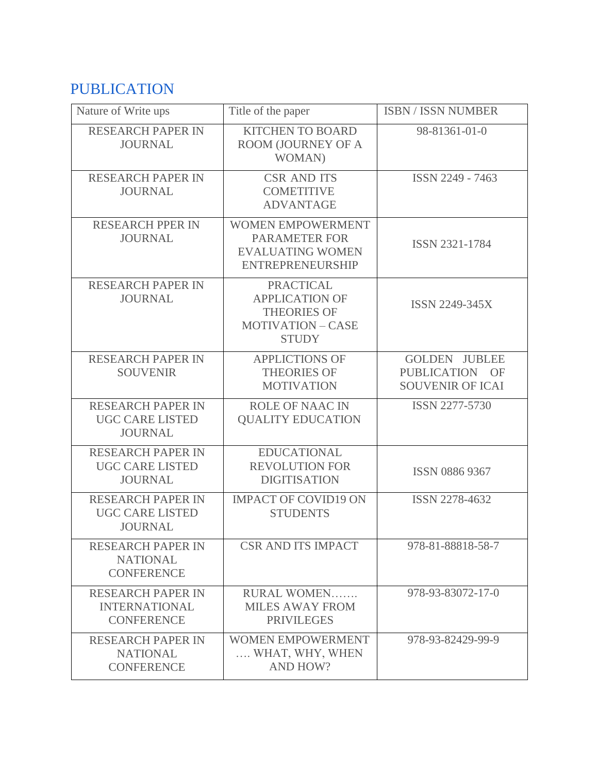# PUBLICATION

| Nature of Write ups                                                   | Title of the paper                                                                                          | <b>ISBN / ISSN NUMBER</b>                                                     |  |
|-----------------------------------------------------------------------|-------------------------------------------------------------------------------------------------------------|-------------------------------------------------------------------------------|--|
| <b>RESEARCH PAPER IN</b><br><b>JOURNAL</b>                            | <b>KITCHEN TO BOARD</b><br>ROOM (JOURNEY OF A<br><b>WOMAN</b> )                                             | 98-81361-01-0                                                                 |  |
| <b>RESEARCH PAPER IN</b><br><b>JOURNAL</b>                            | <b>CSR AND ITS</b><br><b>COMETITIVE</b><br><b>ADVANTAGE</b>                                                 | ISSN 2249 - 7463                                                              |  |
| <b>RESEARCH PPER IN</b><br><b>JOURNAL</b>                             | <b>WOMEN EMPOWERMENT</b><br><b>PARAMETER FOR</b><br><b>EVALUATING WOMEN</b><br><b>ENTREPRENEURSHIP</b>      | <b>ISSN 2321-1784</b>                                                         |  |
| <b>RESEARCH PAPER IN</b><br><b>JOURNAL</b>                            | <b>PRACTICAL</b><br><b>APPLICATION OF</b><br><b>THEORIES OF</b><br><b>MOTIVATION - CASE</b><br><b>STUDY</b> | <b>ISSN 2249-345X</b>                                                         |  |
| <b>RESEARCH PAPER IN</b><br><b>SOUVENIR</b>                           | <b>APPLICTIONS OF</b><br><b>THEORIES OF</b><br><b>MOTIVATION</b>                                            | <b>GOLDEN JUBLEE</b><br><b>PUBLICATION</b><br>– OF<br><b>SOUVENIR OF ICAI</b> |  |
| <b>RESEARCH PAPER IN</b><br><b>UGC CARE LISTED</b><br><b>JOURNAL</b>  | <b>ROLE OF NAAC IN</b><br><b>QUALITY EDUCATION</b>                                                          | <b>ISSN 2277-5730</b>                                                         |  |
| <b>RESEARCH PAPER IN</b><br><b>UGC CARE LISTED</b><br><b>JOURNAL</b>  | <b>EDUCATIONAL</b><br><b>REVOLUTION FOR</b><br><b>DIGITISATION</b>                                          | <b>ISSN 0886 9367</b>                                                         |  |
| <b>RESEARCH PAPER IN</b><br><b>UGC CARE LISTED</b><br><b>JOURNAL</b>  | <b>IMPACT OF COVID19 ON</b><br><b>STUDENTS</b>                                                              | <b>ISSN 2278-4632</b>                                                         |  |
| <b>RESEARCH PAPER IN</b><br><b>NATIONAL</b><br><b>CONFERENCE</b>      | <b>CSR AND ITS IMPACT</b>                                                                                   | 978-81-88818-58-7                                                             |  |
| <b>RESEARCH PAPER IN</b><br><b>INTERNATIONAL</b><br><b>CONFERENCE</b> | RURAL WOMEN<br><b>MILES AWAY FROM</b><br><b>PRIVILEGES</b>                                                  | 978-93-83072-17-0                                                             |  |
| <b>RESEARCH PAPER IN</b><br><b>NATIONAL</b><br><b>CONFERENCE</b>      | <b>WOMEN EMPOWERMENT</b><br>WHAT, WHY, WHEN<br><b>AND HOW?</b>                                              | 978-93-82429-99-9                                                             |  |